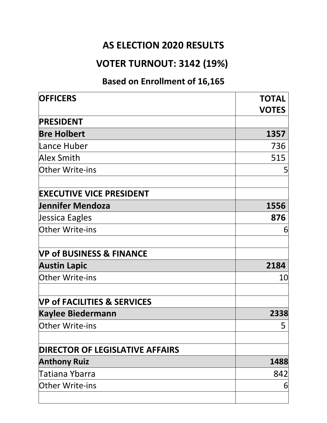#### **AS ELECTION 2020 RESULTS**

### **VOTER TURNOUT: 3142 (19%)**

#### **Based on Enrollment of 16,165**

| <b>OFFICERS</b>                        | <b>TOTAL</b><br><b>VOTES</b> |
|----------------------------------------|------------------------------|
| <b>PRESIDENT</b>                       |                              |
| <b>Bre Holbert</b>                     | 1357                         |
| Lance Huber                            | 736                          |
| <b>Alex Smith</b>                      | 515                          |
| Other Write-ins                        | 5                            |
| <b>EXECUTIVE VICE PRESIDENT</b>        |                              |
| Jennifer Mendoza                       | 1556                         |
| Jessica Eagles                         | 876                          |
| Other Write-ins                        | 6                            |
| <b>VP of BUSINESS &amp; FINANCE</b>    |                              |
| <b>Austin Lapic</b>                    | 2184                         |
| Other Write-ins                        | 10                           |
| <b>VP of FACILITIES &amp; SERVICES</b> |                              |
| <b>Kaylee Biedermann</b>               | 2338                         |
| <b>Other Write-ins</b>                 | 5                            |
| <b>DIRECTOR OF LEGISLATIVE AFFAIRS</b> |                              |
| <b>Anthony Ruiz</b>                    | 1488                         |
| Tatiana Ybarra                         | 842                          |
| Other Write-ins                        | 6                            |
|                                        |                              |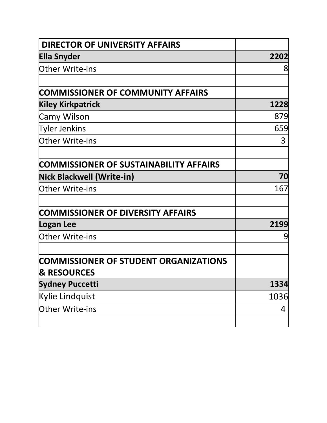| <b>DIRECTOR OF UNIVERSITY AFFAIRS</b>         |      |
|-----------------------------------------------|------|
| <b>Ella Snyder</b>                            | 2202 |
| <b>Other Write-ins</b>                        | 8    |
| <b>COMMISSIONER OF COMMUNITY AFFAIRS</b>      |      |
| <b>Kiley Kirkpatrick</b>                      | 1228 |
| Camy Wilson                                   | 879  |
| <b>Tyler Jenkins</b>                          | 659  |
| <b>Other Write-ins</b>                        | 3    |
| <b>COMMISSIONER OF SUSTAINABILITY AFFAIRS</b> |      |
| Nick Blackwell (Write-in)                     | 70   |
| <b>Other Write-ins</b>                        | 167  |
| <b>COMMISSIONER OF DIVERSITY AFFAIRS</b>      |      |
| Logan Lee                                     | 2199 |
| <b>Other Write-ins</b>                        | 9    |
| <b>COMMISSIONER OF STUDENT ORGANIZATIONS</b>  |      |
| <b>&amp; RESOURCES</b>                        |      |
| <b>Sydney Puccetti</b>                        | 1334 |
| Kylie Lindquist                               | 1036 |
| <b>Other Write-ins</b>                        | 4    |
|                                               |      |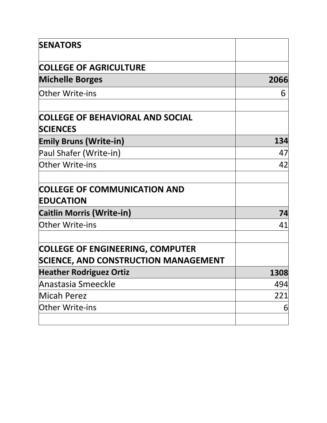| <b>SENATORS</b>                                                                        |      |
|----------------------------------------------------------------------------------------|------|
| <b>COLLEGE OF AGRICULTURE</b>                                                          |      |
| <b>Michelle Borges</b>                                                                 | 2066 |
| <b>Other Write-ins</b>                                                                 | 6    |
| <b>COLLEGE OF BEHAVIORAL AND SOCIAL</b>                                                |      |
| <b>SCIENCES</b>                                                                        |      |
| <b>Emily Bruns (Write-in)</b>                                                          | 134  |
| Paul Shafer (Write-in)                                                                 | 47   |
| Other Write-ins                                                                        | 42   |
| <b>COLLEGE OF COMMUNICATION AND</b><br><b>EDUCATION</b>                                |      |
| <b>Caitlin Morris (Write-in)</b>                                                       | 74   |
| <b>Other Write-ins</b>                                                                 | 41   |
| <b>COLLEGE OF ENGINEERING, COMPUTER</b><br><b>SCIENCE, AND CONSTRUCTION MANAGEMENT</b> |      |
| <b>Heather Rodriguez Ortiz</b>                                                         | 1308 |
| Anastasia Smeeckle                                                                     | 494  |
| Micah Perez                                                                            | 221  |
| <b>Other Write-ins</b>                                                                 | 6    |
|                                                                                        |      |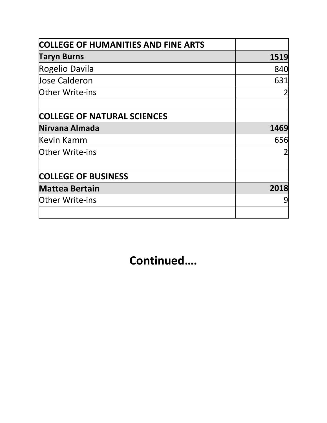| <b>COLLEGE OF HUMANITIES AND FINE ARTS</b> |      |
|--------------------------------------------|------|
| <b>Taryn Burns</b>                         | 1519 |
| Rogelio Davila                             | 840  |
| <b>Jose Calderon</b>                       | 631  |
| <b>Other Write-ins</b>                     |      |
|                                            |      |
| <b>COLLEGE OF NATURAL SCIENCES</b>         |      |
| Nirvana Almada                             | 1469 |
| Kevin Kamm                                 | 656  |
| <b>Other Write-ins</b>                     |      |
|                                            |      |
| <b>COLLEGE OF BUSINESS</b>                 |      |
| <b>Mattea Bertain</b>                      | 2018 |
| <b>Other Write-ins</b>                     | 9    |
|                                            |      |

## **Continued….**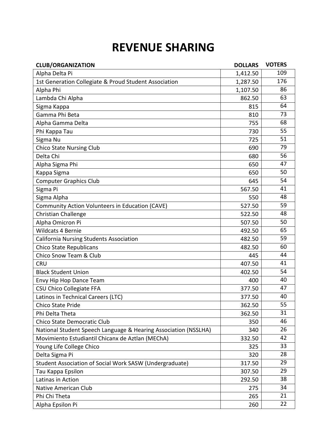### **REVENUE SHARING**

| <b>CLUB/ORGANIZATION</b>                                        | <b>DOLLARS</b> | <b>VOTERS</b> |
|-----------------------------------------------------------------|----------------|---------------|
| Alpha Delta Pi                                                  | 1,412.50       | 109           |
| 1st Generation Collegiate & Proud Student Association           | 1,287.50       | 176           |
| Alpha Phi                                                       | 1,107.50       | 86            |
| Lambda Chi Alpha                                                | 862.50         | 63            |
| Sigma Kappa                                                     | 815            | 64            |
| Gamma Phi Beta                                                  | 810            | 73            |
| Alpha Gamma Delta                                               | 755            | 68            |
| Phi Kappa Tau                                                   | 730            | 55            |
| Sigma Nu                                                        | 725            | 51            |
| <b>Chico State Nursing Club</b>                                 | 690            | 79            |
| Delta Chi                                                       | 680            | 56            |
| Alpha Sigma Phi                                                 | 650            | 47            |
| Kappa Sigma                                                     | 650            | 50            |
| <b>Computer Graphics Club</b>                                   | 645            | 54            |
| Sigma Pi                                                        | 567.50         | 41            |
| Sigma Alpha                                                     | 550            | 48            |
| Community Action Volunteers in Education (CAVE)                 | 527.50         | 59            |
| Christian Challenge                                             | 522.50         | 48            |
| Alpha Omicron Pi                                                | 507.50         | 50            |
| <b>Wildcats 4 Bernie</b>                                        | 492.50         | 65            |
| <b>California Nursing Students Association</b>                  | 482.50         | 59            |
| <b>Chico State Republicans</b>                                  | 482.50         | 60            |
| Chico Snow Team & Club                                          | 445            | 44            |
| <b>CRU</b>                                                      | 407.50         | 41            |
| <b>Black Student Union</b>                                      | 402.50         | 54            |
| Envy Hip Hop Dance Team                                         | 400            | 40            |
| <b>CSU Chico Collegiate FFA</b>                                 | 377.50         | 47            |
| Latinos in Technical Careers (LTC)                              | 377.50         | 40            |
| Chico State Pride                                               | 362.50         | 55            |
| Phi Delta Theta                                                 | 362.50         | 31            |
| Chico State Democratic Club                                     | 350            | 46            |
| National Student Speech Language & Hearing Association (NSSLHA) | 340            | 26            |
| Movimiento Estudiantil Chicanx de Aztlan (MEChA)                | 332.50         | 42            |
| Young Life College Chico                                        | 325            | 33            |
| Delta Sigma Pi                                                  | 320            | 28            |
| Student Association of Social Work SASW (Undergraduate)         | 317.50         | 29            |
| Tau Kappa Epsilon                                               | 307.50         | 29            |
| Latinas in Action                                               | 292.50         | 38            |
| Native American Club                                            | 275            | 34            |
| Phi Chi Theta                                                   | 265            | 21            |
| Alpha Epsilon Pi                                                | 260            | 22            |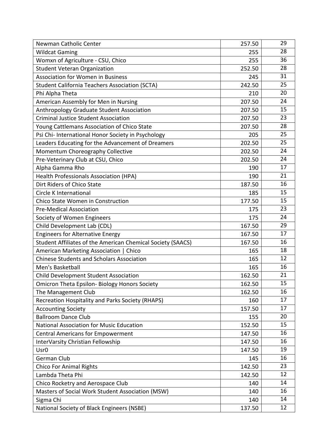| Newman Catholic Center                                      | 257.50 | 29 |
|-------------------------------------------------------------|--------|----|
| <b>Wildcat Gaming</b>                                       | 255    | 28 |
| Womxn of Agriculture - CSU, Chico                           | 255    | 36 |
| <b>Student Veteran Organization</b>                         | 252.50 | 28 |
| <b>Association for Women in Business</b>                    | 245    | 31 |
| <b>Student California Teachers Association (SCTA)</b>       | 242.50 | 25 |
| Phi Alpha Theta                                             | 210    | 20 |
| American Assembly for Men in Nursing                        | 207.50 | 24 |
| Anthropology Graduate Student Association                   | 207.50 | 15 |
| <b>Criminal Justice Student Association</b>                 | 207.50 | 23 |
| Young Cattlemans Association of Chico State                 | 207.50 | 28 |
| Psi Chi- International Honor Society in Psychology          | 205    | 25 |
| Leaders Educating for the Advancement of Dreamers           | 202.50 | 25 |
| Momentum Choreography Collective                            | 202.50 | 24 |
| Pre-Veterinary Club at CSU, Chico                           | 202.50 | 24 |
| Alpha Gamma Rho                                             | 190    | 17 |
| <b>Health Professionals Association (HPA)</b>               | 190    | 21 |
| Dirt Riders of Chico State                                  | 187.50 | 16 |
| Circle K International                                      | 185    | 15 |
| Chico State Women in Construction                           | 177.50 | 15 |
| <b>Pre-Medical Association</b>                              | 175    | 23 |
| Society of Women Engineers                                  | 175    | 24 |
| Child Development Lab (CDL)                                 | 167.50 | 29 |
| <b>Engineers for Alternative Energy</b>                     | 167.50 | 17 |
| Student Affiliates of the American Chemical Society (SAACS) | 167.50 | 16 |
| American Marketing Association  <br>Chico                   | 165    | 18 |
| <b>Chinese Students and Scholars Association</b>            | 165    | 12 |
| Men's Basketball                                            | 165    | 16 |
| Child Development Student Association                       | 162.50 | 21 |
| <b>Omicron Theta Epsilon- Biology Honors Society</b>        | 162.50 | 15 |
| The Management Club                                         | 162.50 | 16 |
| Recreation Hospitality and Parks Society (RHAPS)            | 160    | 17 |
| <b>Accounting Society</b>                                   | 157.50 | 17 |
| <b>Ballroom Dance Club</b>                                  | 155    | 20 |
| <b>National Association for Music Education</b>             | 152.50 | 15 |
| <b>Central Americans for Empowerment</b>                    | 147.50 | 16 |
| InterVarsity Christian Fellowship                           | 147.50 | 16 |
| Usr <sub>0</sub>                                            | 147.50 | 19 |
| German Club                                                 | 145    | 16 |
| <b>Chico For Animal Rights</b>                              | 142.50 | 23 |
| Lambda Theta Phi                                            | 142.50 | 12 |
| Chico Rocketry and Aerospace Club                           | 140    | 14 |
| Masters of Social Work Student Association (MSW)            | 140    | 16 |
| Sigma Chi                                                   | 140    | 14 |
| National Society of Black Engineers (NSBE)                  | 137.50 | 12 |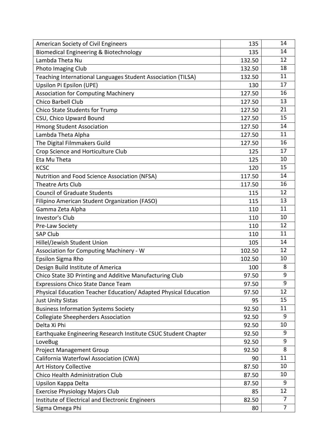| American Society of Civil Engineers                              | 135    | 14             |
|------------------------------------------------------------------|--------|----------------|
| Biomedical Engineering & Biotechnology                           | 135    | 14             |
| Lambda Theta Nu                                                  | 132.50 | 12             |
| <b>Photo Imaging Club</b>                                        | 132.50 | 18             |
| Teaching International Languages Student Association (TILSA)     | 132.50 | 11             |
| Upsilon Pi Epsilon (UPE)                                         | 130    | 17             |
| <b>Association for Computing Machinery</b>                       | 127.50 | 16             |
| <b>Chico Barbell Club</b>                                        | 127.50 | 13             |
| Chico State Students for Trump                                   | 127.50 | 21             |
| CSU, Chico Upward Bound                                          | 127.50 | 15             |
| <b>Hmong Student Association</b>                                 | 127.50 | 14             |
| Lambda Theta Alpha                                               | 127.50 | 11             |
| The Digital Filmmakers Guild                                     | 127.50 | 16             |
| Crop Science and Horticulture Club                               | 125    | 17             |
| Eta Mu Theta                                                     | 125    | 10             |
| <b>KCSC</b>                                                      | 120    | 15             |
| Nutrition and Food Science Association (NFSA)                    | 117.50 | 14             |
| <b>Theatre Arts Club</b>                                         | 117.50 | 16             |
| <b>Council of Graduate Students</b>                              | 115    | 12             |
| Filipino American Student Organization (FASO)                    | 115    | 13             |
| Gamma Zeta Alpha                                                 | 110    | 11             |
| <b>Investor's Club</b>                                           | 110    | 10             |
| Pre-Law Society                                                  | 110    | 12             |
| <b>SAP Club</b>                                                  | 110    | 11             |
| Hillel/Jewish Student Union                                      | 105    | 14             |
| Association for Computing Machinery - W                          | 102.50 | 12             |
| Epsilon Sigma Rho                                                | 102.50 | 10             |
| Design Build Institute of America                                | 100    | 8              |
| Chico State 3D Printing and Additive Manufacturing Club          | 97.50  | 9              |
| <b>Expressions Chico State Dance Team</b>                        | 97.50  | 9              |
| Physical Education Teacher Education/ Adapted Physical Education | 97.50  | 12             |
| <b>Just Unity Sistas</b>                                         | 95     | 15             |
| <b>Business Information Systems Society</b>                      | 92.50  | 11             |
| <b>Collegiate Sheepherders Association</b>                       | 92.50  | 9              |
| Delta Xi Phi                                                     | 92.50  | 10             |
| Earthquake Engineering Research Institute CSUC Student Chapter   | 92.50  | 9              |
| LoveBug                                                          | 92.50  | 9              |
| <b>Project Management Group</b>                                  | 92.50  | 8              |
| California Waterfowl Association (CWA)                           | 90     | 11             |
| <b>Art History Collective</b>                                    | 87.50  | 10             |
| Chico Health Administration Club                                 | 87.50  | 10             |
| Upsilon Kappa Delta                                              | 87.50  | 9              |
| <b>Exercise Physiology Majors Club</b>                           | 85     | 12             |
| Institute of Electrical and Electronic Engineers                 | 82.50  | 7              |
| Sigma Omega Phi                                                  | 80     | $\overline{7}$ |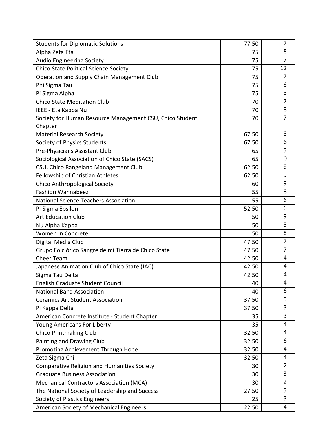| <b>Students for Diplomatic Solutions</b>                 | 77.50 | 7              |
|----------------------------------------------------------|-------|----------------|
| Alpha Zeta Eta                                           | 75    | 8              |
| <b>Audio Engineering Society</b>                         | 75    | $\overline{7}$ |
| Chico State Political Science Society                    | 75    | 12             |
| Operation and Supply Chain Management Club               | 75    | $\overline{7}$ |
| Phi Sigma Tau                                            | 75    | 6              |
| Pi Sigma Alpha                                           | 75    | 8              |
| <b>Chico State Meditation Club</b>                       | 70    | $\overline{7}$ |
| IEEE - Eta Kappa Nu                                      | 70    | 8              |
| Society for Human Resource Management CSU, Chico Student | 70    | $\overline{7}$ |
| Chapter                                                  |       |                |
| <b>Material Research Society</b>                         | 67.50 | 8              |
| Society of Physics Students                              | 67.50 | 6              |
| Pre-Physicians Assistant Club                            | 65    | 5              |
| Sociological Association of Chico State (SACS)           | 65    | 10             |
| CSU, Chico Rangeland Management Club                     | 62.50 | 9              |
| Fellowship of Christian Athletes                         | 62.50 | 9              |
| <b>Chico Anthropological Society</b>                     | 60    | 9              |
| <b>Fashion Wannabeez</b>                                 | 55    | 8              |
| <b>National Science Teachers Association</b>             | 55    | 6              |
| Pi Sigma Epsilon                                         | 52.50 | 6              |
| <b>Art Education Club</b>                                | 50    | 9              |
| Nu Alpha Kappa                                           | 50    | 5              |
| Women in Concrete                                        | 50    | 8              |
| Digital Media Club                                       | 47.50 | $\overline{7}$ |
| Grupo Folclórico Sangre de mi Tierra de Chico State      | 47.50 | $\overline{7}$ |
| Cheer Team                                               | 42.50 | 4              |
| Japanese Animation Club of Chico State (JAC)             | 42.50 | 4              |
| Sigma Tau Delta                                          | 42.50 | 4              |
| English Graduate Student Council                         | 40    | 4              |
| <b>National Band Association</b>                         | 40    | 6              |
| <b>Ceramics Art Student Association</b>                  | 37.50 | 5              |
| Pi Kappa Delta                                           | 37.50 | 3              |
| American Concrete Institute - Student Chapter            | 35    | 3              |
| Young Americans For Liberty                              | 35    | 4              |
| <b>Chico Printmaking Club</b>                            | 32.50 | 4              |
| Painting and Drawing Club                                | 32.50 | 6              |
| Promoting Achievement Through Hope                       | 32.50 | 4              |
| Zeta Sigma Chi                                           | 32.50 | 4              |
| Comparative Religion and Humanities Society              | 30    | $\overline{2}$ |
| <b>Graduate Business Association</b>                     | 30    | 3              |
| <b>Mechanical Contractors Association (MCA)</b>          | 30    | $\overline{2}$ |
| The National Society of Leadership and Success           | 27.50 | 5              |
| Society of Plastics Engineers                            | 25    | 3              |
| American Society of Mechanical Engineers                 | 22.50 | 4              |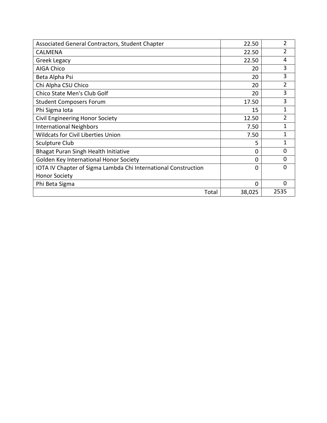| Associated General Contractors, Student Chapter                | 22.50    | $\overline{2}$ |
|----------------------------------------------------------------|----------|----------------|
| <b>CALMENA</b>                                                 | 22.50    | $\overline{2}$ |
| Greek Legacy                                                   | 22.50    | 4              |
| <b>AIGA Chico</b>                                              | 20       | 3              |
| Beta Alpha Psi                                                 | 20       | 3              |
| Chi Alpha CSU Chico                                            | 20       | $\overline{2}$ |
| Chico State Men's Club Golf                                    | 20       | 3              |
| <b>Student Composers Forum</b>                                 | 17.50    | 3              |
| Phi Sigma Iota                                                 | 15       | 1              |
| <b>Civil Engineering Honor Society</b>                         | 12.50    | 2              |
| <b>International Neighbors</b>                                 | 7.50     | 1              |
| <b>Wildcats for Civil Liberties Union</b>                      | 7.50     | 1              |
| Sculpture Club                                                 | 5        | 1              |
| Bhagat Puran Singh Health Initiative                           | $\Omega$ | $\Omega$       |
| Golden Key International Honor Society                         | $\Omega$ | $\Omega$       |
| IOTA IV Chapter of Sigma Lambda Chi International Construction | $\Omega$ | O              |
| <b>Honor Society</b>                                           |          |                |
| Phi Beta Sigma                                                 | $\Omega$ | $\Omega$       |
| Total                                                          | 38,025   | 2535           |